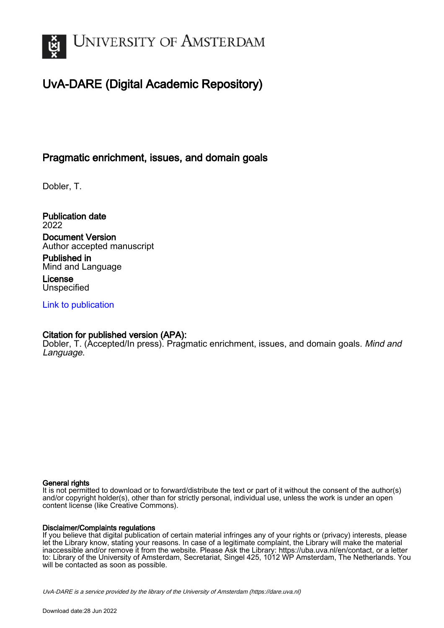

# UvA-DARE (Digital Academic Repository)

# Pragmatic enrichment, issues, and domain goals

Dobler, T.

Publication date 2022 Document Version Author accepted manuscript

Published in Mind and Language

License **Unspecified** 

[Link to publication](https://dare.uva.nl/personal/pure/en/publications/pragmatic-enrichment-issues-and-domain-goals(ef154f1e-e893-459e-a2d7-7dbe4b84ff4c).html)

### Citation for published version (APA):

Dobler, T. (Accepted/In press). Pragmatic enrichment, issues, and domain goals. Mind and Language.

### General rights

It is not permitted to download or to forward/distribute the text or part of it without the consent of the author(s) and/or copyright holder(s), other than for strictly personal, individual use, unless the work is under an open content license (like Creative Commons).

### Disclaimer/Complaints regulations

If you believe that digital publication of certain material infringes any of your rights or (privacy) interests, please let the Library know, stating your reasons. In case of a legitimate complaint, the Library will make the material inaccessible and/or remove it from the website. Please Ask the Library: https://uba.uva.nl/en/contact, or a letter to: Library of the University of Amsterdam, Secretariat, Singel 425, 1012 WP Amsterdam, The Netherlands. You will be contacted as soon as possible.

UvA-DARE is a service provided by the library of the University of Amsterdam (http*s*://dare.uva.nl)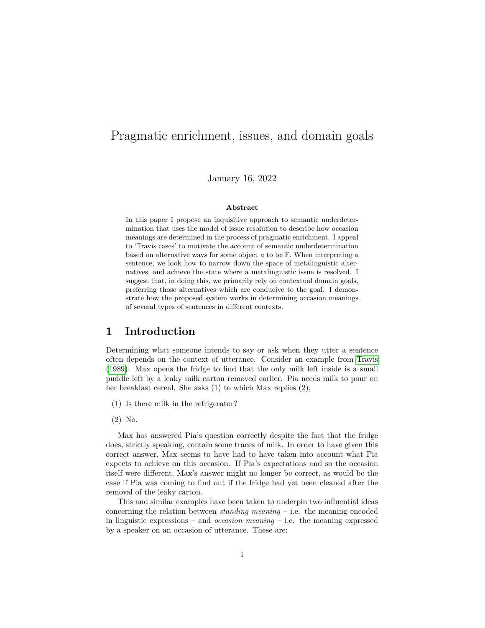# Pragmatic enrichment, issues, and domain goals

January 16, 2022

#### **Abstract**

In this paper I propose an inquisitive approach to semantic underdetermination that uses the model of issue resolution to describe how occasion meanings are determined in the process of pragmatic enrichment. I appeal to 'Travis cases' to motivate the account of semantic underdetermination based on alternative ways for some object *a* to be F. When interpreting a sentence, we look how to narrow down the space of metalinguistic alternatives, and achieve the state where a metalinguistic issue is resolved. I suggest that, in doing this, we primarily rely on contextual domain goals, preferring those alternatives which are conducive to the goal. I demonstrate how the proposed system works in determining occasion meanings of several types of sentences in different contexts.

### **1 Introduction**

Determining what someone intends to say or ask when they utter a sentence often depends on the context of utterance. Consider an example from [Travis](#page-26-0) [\(1989\)](#page-26-0). Max opens the fridge to find that the only milk left inside is a small puddle left by a leaky milk carton removed earlier. Pia needs milk to pour on her breakfast cereal. She asks (1) to which Max replies (2),

- (1) Is there milk in the refrigerator?
- (2) No.

Max has answered Pia's question correctly despite the fact that the fridge does, strictly speaking, contain some traces of milk. In order to have given this correct answer, Max seems to have had to have taken into account what Pia expects to achieve on this occasion. If Pia's expectations and so the occasion itself were different, Max's answer might no longer be correct, as would be the case if Pia was coming to find out if the fridge had yet been cleaned after the removal of the leaky carton.

This and similar examples have been taken to underpin two influential ideas concerning the relation between *standing meaning* – i.e. the meaning encoded in linguistic expressions – and *occasion meaning* – i.e. the meaning expressed by a speaker on an occasion of utterance. These are: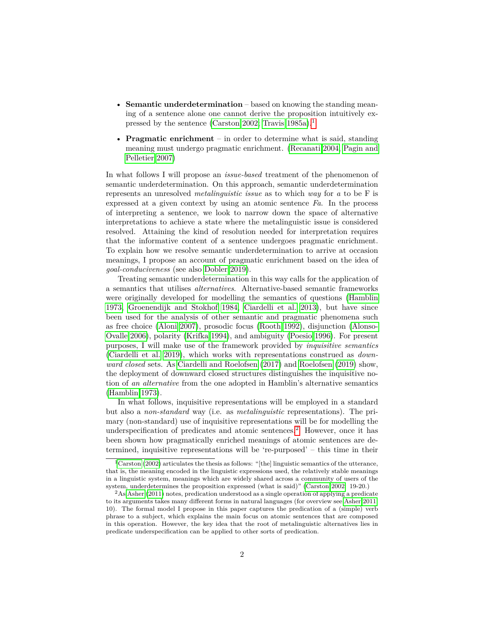- **Semantic underdetermination** based on knowing the standing meaning of a sentence alone one cannot derive the proposition intuitively ex-pressed by the sentence [\(Carston 2002;](#page-24-0) [Travis 1985a\)](#page-26-1).<sup>[1](#page-2-0)</sup>
- **Pragmatic enrichment** in order to determine what is said, standing meaning must undergo pragmatic enrichment. [\(Recanati 2004,](#page-25-0) [Pagin and](#page-25-1) [Pelletier 2007\)](#page-25-1)

In what follows I will propose an *issue-based* treatment of the phenomenon of semantic underdetermination. On this approach, semantic underdetermination represents an unresolved *metalinguistic issue* as to which *way* for *a* to be F is expressed at a given context by using an atomic sentence *Fa*. In the process of interpreting a sentence, we look to narrow down the space of alternative interpretations to achieve a state where the metalinguistic issue is considered resolved. Attaining the kind of resolution needed for interpretation requires that the informative content of a sentence undergoes pragmatic enrichment. To explain how we resolve semantic underdetermination to arrive at occasion meanings, I propose an account of pragmatic enrichment based on the idea of *goal-conduciveness* (see also [Dobler 2019\)](#page-24-1).

Treating semantic underdetermination in this way calls for the application of a semantics that utilises *alternatives*. Alternative-based semantic frameworks were originally developed for modelling the semantics of questions [\(Hamblin](#page-24-2) [1973,](#page-24-2) [Groenendijk and Stokhof 1984,](#page-24-3) [Ciardelli et al. 2013\)](#page-24-4), but have since been used for the analysis of other semantic and pragmatic phenomena such as free choice [\(Aloni 2007\)](#page-23-0), prosodic focus [\(Rooth 1992\)](#page-26-2), disjunction [\(Alonso-](#page-23-1)[Ovalle 2006\)](#page-23-1), polarity [\(Krifka 1994\)](#page-25-2), and ambiguity [\(Poesio 1996\)](#page-25-3). For present purposes, I will make use of the framework provided by *inquisitive semantics* [\(Ciardelli et al. 2019\)](#page-24-5), which works with representations construed as *downward closed* sets. As [Ciardelli and Roelofsen](#page-24-6) [\(2017\)](#page-24-6) and [Roelofsen](#page-25-4) [\(2019\)](#page-25-4) show, the deployment of downward closed structures distinguishes the inquisitive notion of *an alternative* from the one adopted in Hamblin's alternative semantics [\(Hamblin 1973\)](#page-24-2).

In what follows, inquisitive representations will be employed in a standard but also a *non-standard* way (i.e. as *metalinguistic* representations). The primary (non-standard) use of inquisitive representations will be for modelling the underspecification of predicates and atomic sentences.<sup>[2](#page-2-1)</sup> However, once it has been shown how pragmatically enriched meanings of atomic sentences are determined, inquisitive representations will be 're-purposed' – this time in their

<span id="page-2-0"></span> $1$ [Carston](#page-24-0) [\(2002\)](#page-24-0) articulates the thesis as follows: "[the] linguistic semantics of the utterance, that is, the meaning encoded in the linguistic expressions used, the relatively stable meanings in a linguistic system, meanings which are widely shared across a community of users of the system, underdetermines the proposition expressed (what is said)" [\(Carston 2002:](#page-24-0) 19-20.)

<span id="page-2-1"></span><sup>2</sup>As [Asher](#page-23-2) [\(2011\)](#page-23-2) notes, predication understood as a single operation of applying a predicate to its arguments takes many different forms in natural languages (for overview see [Asher 2011:](#page-23-2) 10). The formal model I propose in this paper captures the predication of a (simple) verb phrase to a subject, which explains the main focus on atomic sentences that are composed in this operation. However, the key idea that the root of metalinguistic alternatives lies in predicate underspecification can be applied to other sorts of predication.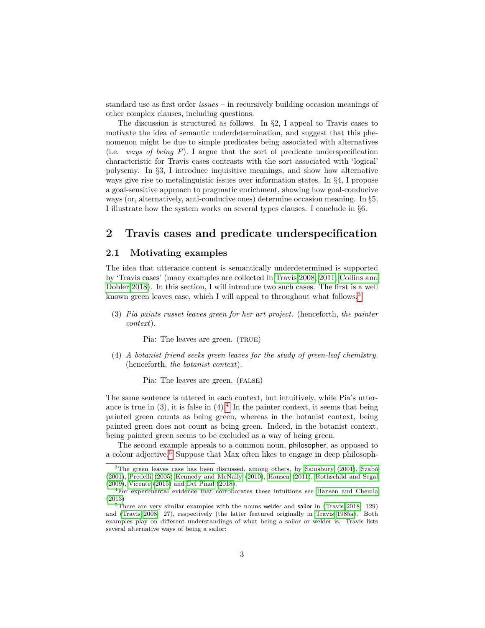standard use as first order *issues* – in recursively building occasion meanings of other complex clauses, including questions.

The discussion is structured as follows. In  $\S 2$ , I appeal to Travis cases to motivate the idea of semantic underdetermination, and suggest that this phenomenon might be due to simple predicates being associated with alternatives (i.e. *ways of being F*). I argue that the sort of predicate underspecification characteristic for Travis cases contrasts with the sort associated with 'logical' polysemy. In §3, I introduce inquisitive meanings, and show how alternative ways give rise to metalinguistic issues over information states. In §4, I propose a goal-sensitive approach to pragmatic enrichment, showing how goal-conducive ways (or, alternatively, anti-conducive ones) determine occasion meaning. In §5, I illustrate how the system works on several types clauses. I conclude in §6.

### **2 Travis cases and predicate underspecification**

### **2.1 Motivating examples**

The idea that utterance content is semantically underdetermined is supported by 'Travis cases' (many examples are collected in [Travis 2008,](#page-26-3) [2011;](#page-26-4) [Collins and](#page-24-7) [Dobler 2018\)](#page-24-7). In this section, I will introduce two such cases. The first is a well known green leaves case, which I will appeal to throughout what follows.<sup>[3](#page-3-0)</sup>

(3) *Pia paints russet leaves green for her art project.* (henceforth, *the painter context*).

Pia: The leaves are green. (TRUE)

(4) *A botanist friend seeks green leaves for the study of green-leaf chemistry.* (henceforth, *the botanist context*).

Pia: The leaves are green. (FALSE)

The same sentence is uttered in each context, but intuitively, while Pia's utterance is true in  $(3)$ , it is false in  $(4)$  $(4)$  $(4)$ .<sup>4</sup> In the painter context, it seems that being painted green counts as being green, whereas in the botanist context, being painted green does not count as being green. Indeed, in the botanist context, being painted green seems to be excluded as a way of being green.

The second example appeals to a common noun, philosopher, as opposed to a colour adjective.[5](#page-3-2) Suppose that Max often likes to engage in deep philosoph-

<span id="page-3-0"></span><sup>3</sup>The green leaves case has been discussed, among others, by [Sainsbury](#page-26-5) [\(2001\)](#page-26-5), [Szabó](#page-26-6) [\(2001\)](#page-26-6), [Predelli](#page-25-5) [\(2005\)](#page-25-5) [Kennedy and McNally](#page-25-6) [\(2010\)](#page-25-6), [Hansen](#page-24-8) [\(2011\)](#page-24-8), [Rothschild and Segal](#page-26-7) [\(2009\)](#page-26-7), [Vicente](#page-26-8) [\(2015\)](#page-26-8) and [Del Pinal](#page-24-9) [\(2018\)](#page-24-9).

<span id="page-3-1"></span><sup>4</sup>For experimental evidence that corroborates these intuitions see [Hansen and Chemla](#page-25-7) [\(2013\)](#page-25-7)

<span id="page-3-2"></span> $5$ There are very similar examples with the nouns welder and sailor in [\(Travis 2018:](#page-26-9) 129) and [\(Travis 2008:](#page-26-3) 27), respectively (the latter featured originally in [Travis 1985a\)](#page-26-1). Both examples play on different understandings of what being a sailor or welder is. Travis lists several alternative ways of being a sailor: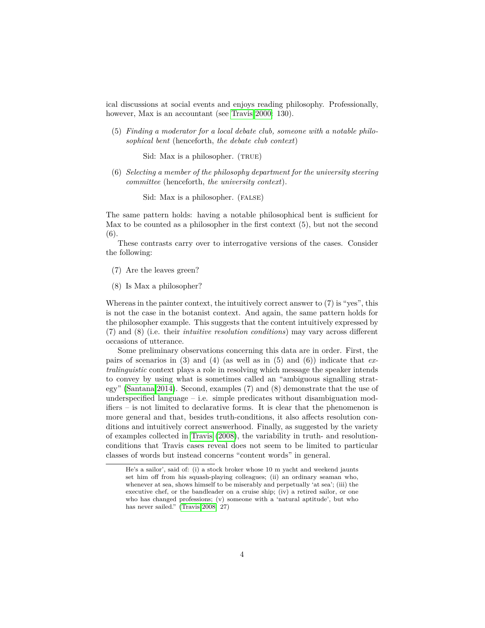ical discussions at social events and enjoys reading philosophy. Professionally, however, Max is an accountant (see [Travis 2000:](#page-26-10) 130).

(5) *Finding a moderator for a local debate club, someone with a notable philosophical bent* (henceforth, *the debate club context*)

Sid: Max is a philosopher. (TRUE)

(6) *Selecting a member of the philosophy department for the university steering committee* (henceforth, *the university context*).

Sid: Max is a philosopher. (FALSE)

The same pattern holds: having a notable philosophical bent is sufficient for Max to be counted as a philosopher in the first context (5), but not the second  $(6)$ 

These contrasts carry over to interrogative versions of the cases. Consider the following:

- (7) Are the leaves green?
- (8) Is Max a philosopher?

Whereas in the painter context, the intuitively correct answer to  $(7)$  is "yes", this is not the case in the botanist context. And again, the same pattern holds for the philosopher example. This suggests that the content intuitively expressed by (7) and (8) (i.e. their *intuitive resolution conditions*) may vary across different occasions of utterance.

Some preliminary observations concerning this data are in order. First, the pairs of scenarios in (3) and (4) (as well as in (5) and (6)) indicate that *extralinguistic* context plays a role in resolving which message the speaker intends to convey by using what is sometimes called an "ambiguous signalling strategy" [\(Santana 2014\)](#page-26-11). Second, examples (7) and (8) demonstrate that the use of underspecified language – i.e. simple predicates without disambiguation modifiers – is not limited to declarative forms. It is clear that the phenomenon is more general and that, besides truth-conditions, it also affects resolution conditions and intuitively correct answerhood. Finally, as suggested by the variety of examples collected in [Travis](#page-26-3) [\(2008\)](#page-26-3), the variability in truth- and resolutionconditions that Travis cases reveal does not seem to be limited to particular classes of words but instead concerns "content words" in general.

He's a sailor', said of: (i) a stock broker whose 10 m yacht and weekend jaunts set him off from his squash-playing colleagues; (ii) an ordinary seaman who, whenever at sea, shows himself to be miserably and perpetually 'at sea'; (iii) the executive chef, or the bandleader on a cruise ship; (iv) a retired sailor, or one who has changed professions; (v) someone with a 'natural aptitude', but who has never sailed." [\(Travis 2008:](#page-26-3) 27)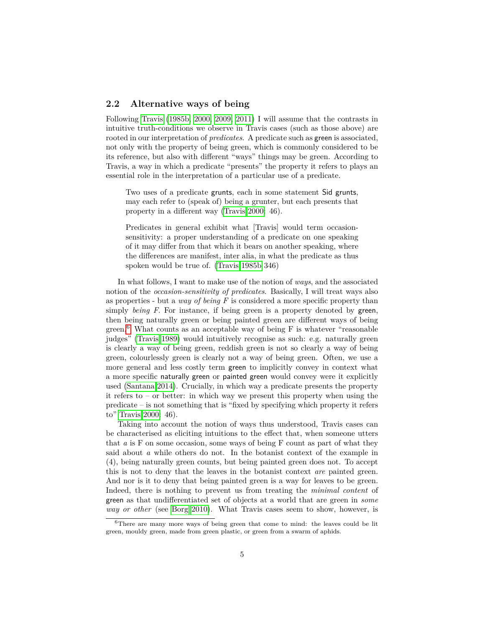### **2.2 Alternative ways of being**

Following [Travis](#page-26-12) [\(1985b,](#page-26-12) [2000,](#page-26-10) [2009,](#page-26-13) [2011\)](#page-26-4) I will assume that the contrasts in intuitive truth-conditions we observe in Travis cases (such as those above) are rooted in our interpretation of *predicates*. A predicate such as green is associated, not only with the property of being green, which is commonly considered to be its reference, but also with different "ways" things may be green. According to Travis, a way in which a predicate "presents" the property it refers to plays an essential role in the interpretation of a particular use of a predicate.

Two uses of a predicate grunts, each in some statement Sid grunts, may each refer to (speak of) being a grunter, but each presents that property in a different way [\(Travis 2000:](#page-26-10) 46).

Predicates in general exhibit what [Travis] would term occasionsensitivity: a proper understanding of a predicate on one speaking of it may differ from that which it bears on another speaking, where the differences are manifest, inter alia, in what the predicate as thus spoken would be true of. [\(Travis 1985b](#page-26-12) 346)

In what follows, I want to make use of the notion of *ways*, and the associated notion of the *occasion-sensitivity of predicates*. Basically, I will treat ways also as properties - but a *way of being F* is considered a more specific property than simply *being F*. For instance, if being green is a property denoted by green, then being naturally green or being painted green are different ways of being green.<sup>[6](#page-5-0)</sup> What counts as an acceptable way of being  $F$  is whatever "reasonable judges" [\(Travis 1989\)](#page-26-0) would intuitively recognise as such: e.g. naturally green is clearly a way of being green, reddish green is not so clearly a way of being green, colourlessly green is clearly not a way of being green. Often, we use a more general and less costly term green to implicitly convey in context what a more specific naturally green or painted green would convey were it explicitly used [\(Santana 2014\)](#page-26-11). Crucially, in which way a predicate presents the property it refers to – or better: in which way we present this property when using the predicate – is not something that is "fixed by specifying which property it refers to" [Travis 2000:](#page-26-10) 46).

Taking into account the notion of ways thus understood, Travis cases can be characterised as eliciting intuitions to the effect that, when someone utters that *a* is F on some occasion, some ways of being F count as part of what they said about *a* while others do not. In the botanist context of the example in (4), being naturally green counts, but being painted green does not. To accept this is not to deny that the leaves in the botanist context *are* painted green. And nor is it to deny that being painted green is a way for leaves to be green. Indeed, there is nothing to prevent us from treating the *minimal content* of green as that undifferentiated set of objects at a world that are green in *some way or other* (see [Borg 2010\)](#page-23-3). What Travis cases seem to show, however, is

<span id="page-5-0"></span> $6$ There are many more ways of being green that come to mind: the leaves could be lit green, mouldy green, made from green plastic, or green from a swarm of aphids.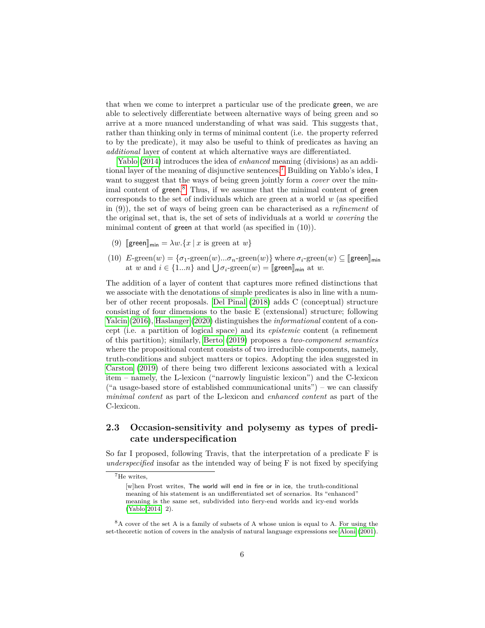that when we come to interpret a particular use of the predicate green, we are able to selectively differentiate between alternative ways of being green and so arrive at a more nuanced understanding of what was said. This suggests that, rather than thinking only in terms of minimal content (i.e. the property referred to by the predicate), it may also be useful to think of predicates as having an *additional* layer of content at which alternative ways are differentiated.

[Yablo](#page-27-0) [\(2014\)](#page-27-0) introduces the idea of *enhanced* meaning (divisions) as an additional layer of the meaning of disjunctive sentences.[7](#page-6-0) Building on Yablo's idea, I want to suggest that the ways of being green jointly form a *cover* over the min-imal content of green.<sup>[8](#page-6-1)</sup> Thus, if we assume that the minimal content of green corresponds to the set of individuals which are green at a world *w* (as specified in (9)), the set of ways of being green can be characterised as a *refinement* of the original set, that is, the set of sets of individuals at a world *w covering* the minimal content of green at that world (as specified in (10)).

- (9)  $\lbrack \mathsf{green}\rbrack_{\mathsf{min}} = \lambda w.\{x \mid x \text{ is green at } w\}$
- (10)  $E$ -green $(w) = {\sigma_1$ -green $(w)$ ... $\sigma_n$ -green $(w)$ } where  $\sigma_i$ -green $(w) \subseteq \llbracket {\sf green} \rrbracket_{\sf min}$ at *w* and  $i \in \{1...n\}$  and  $\bigcup \sigma_i$ -green $(w) = \llbracket \mathsf{green} \rrbracket_{\mathsf{min}}$  at *w*.

The addition of a layer of content that captures more refined distinctions that we associate with the denotations of simple predicates is also in line with a number of other recent proposals. [Del Pinal](#page-24-9) [\(2018\)](#page-24-9) adds C (conceptual) structure consisting of four dimensions to the basic E (extensional) structure; following [Yalcin](#page-27-1) [\(2016\)](#page-27-1), [Haslanger](#page-25-8) [\(2020\)](#page-25-8) distinguishes the *informational* content of a concept (i.e. a partition of logical space) and its *epistemic* content (a refinement of this partition); similarly, [Berto](#page-23-4) [\(2019\)](#page-23-4) proposes a *two-component semantics* where the propositional content consists of two irreducible components, namely, truth-conditions and subject matters or topics. Adopting the idea suggested in [Carston](#page-24-10) [\(2019\)](#page-24-10) of there being two different lexicons associated with a lexical item – namely, the L-lexicon ("narrowly linguistic lexicon") and the C-lexicon ("a usage-based store of established communicational units") – we can classify *minimal content* as part of the L-lexicon and *enhanced content* as part of the C-lexicon.

### **2.3 Occasion-sensitivity and polysemy as types of predicate underspecification**

So far I proposed, following Travis, that the interpretation of a predicate F is *underspecified* insofar as the intended way of being F is not fixed by specifying

<span id="page-6-0"></span><sup>7</sup>He writes,

<sup>[</sup>w]hen Frost writes, The world will end in fire or in ice, the truth-conditional meaning of his statement is an undifferentiated set of scenarios. Its "enhanced" meaning is the same set, subdivided into fiery-end worlds and icy-end worlds [\(Yablo 2014:](#page-27-0) 2).

<span id="page-6-1"></span><sup>8</sup>A cover of the set A is a family of subsets of A whose union is equal to A. For using the set-theoretic notion of covers in the analysis of natural language expressions see [Aloni](#page-23-5) [\(2001\)](#page-23-5).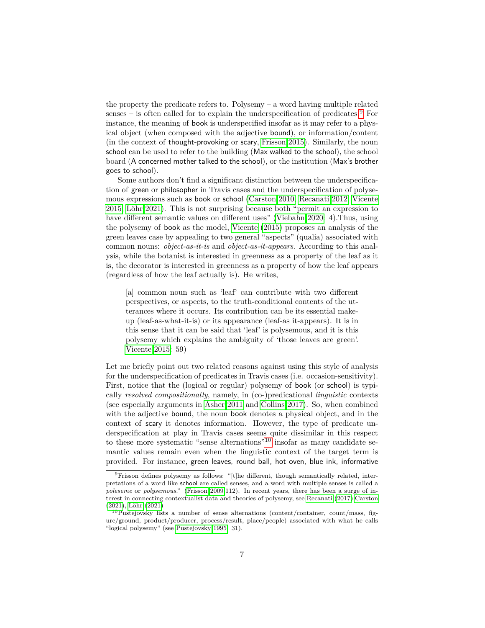the property the predicate refers to. Polysemy – a word having multiple related senses – is often called for to explain the underspecification of predicates.<sup>[9](#page-7-0)</sup> For instance, the meaning of book is underspecified insofar as it may refer to a physical object (when composed with the adjective bound), or information/content (in the context of thought-provoking or scary, [Frisson 2015\)](#page-24-11). Similarly, the noun school can be used to refer to the building (Max walked to the school), the school board (A concerned mother talked to the school), or the institution (Max's brother goes to school).

Some authors don't find a significant distinction between the underspecification of green or philosopher in Travis cases and the underspecification of polysemous expressions such as book or school [\(Carston 2010,](#page-24-12) [Recanati 2012,](#page-25-9) [Vicente](#page-26-8) [2015,](#page-26-8) [Löhr 2021\)](#page-25-10). This is not surprising because both "permit an expression to have different semantic values on different uses" [\(Viebahn 2020:](#page-26-14) 4).Thus, using the polysemy of book as the model, [Vicente](#page-26-8) [\(2015\)](#page-26-8) proposes an analysis of the green leaves case by appealing to two general "aspects" (qualia) associated with common nouns: *object-as-it-is* and *object-as-it-appears*. According to this analysis, while the botanist is interested in greenness as a property of the leaf as it is, the decorator is interested in greenness as a property of how the leaf appears (regardless of how the leaf actually is). He writes,

[a] common noun such as 'leaf' can contribute with two different perspectives, or aspects, to the truth-conditional contents of the utterances where it occurs. Its contribution can be its essential makeup (leaf-as-what-it-is) or its appearance (leaf-as it-appears). It is in this sense that it can be said that 'leaf' is polysemous, and it is this polysemy which explains the ambiguity of 'those leaves are green'. [Vicente 2015:](#page-26-8) 59)

Let me briefly point out two related reasons against using this style of analysis for the underspecification of predicates in Travis cases (i.e. occasion-sensitivity). First, notice that the (logical or regular) polysemy of book (or school) is typically *resolved compositionally*, namely, in (co-)predicational *linguistic* contexts (see especially arguments in [Asher 2011](#page-23-2) and [Collins 2017\)](#page-24-13). So, when combined with the adjective bound, the noun book denotes a physical object, and in the context of scary it denotes information. However, the type of predicate underspecification at play in Travis cases seems quite dissimilar in this respect to these more systematic "sense alternations"[10](#page-7-1) insofar as many candidate semantic values remain even when the linguistic context of the target term is provided. For instance, green leaves, round ball, hot oven, blue ink, informative

<span id="page-7-0"></span><sup>9</sup>Frisson defines polysemy as follows: "[t]he different, though semantically related, interpretations of a word like school are called senses, and a word with multiple senses is called a *poleseme* or *polysemous*." [\(Frisson 2009:](#page-24-14)112). In recent years, there has been a surge of interest in connecting contextualist data and theories of polysemy, see [Recanati](#page-25-11) [\(2017\)](#page-25-11)[,Carston](#page-24-15) [\(2021\)](#page-24-15), [Löhr](#page-25-10) [\(2021\)](#page-25-10)

<span id="page-7-1"></span><sup>10</sup>Pustejovsky lists a number of sense alternations (content/container, count/mass, figure/ground, product/producer, process/result, place/people) associated with what he calls "logical polysemy" (see [Pustejovsky 1995:](#page-25-12) 31).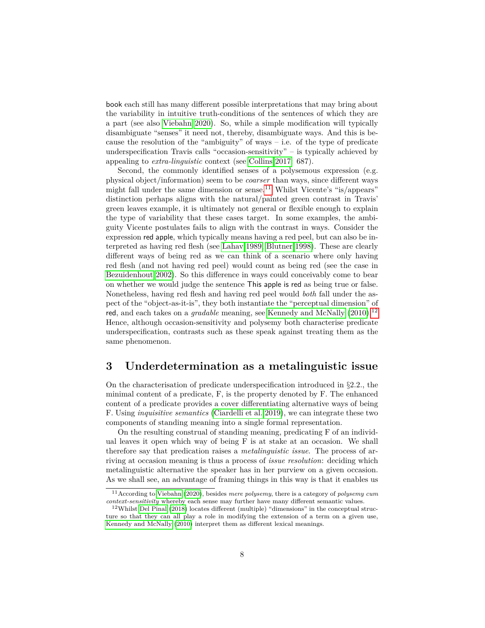book each still has many different possible interpretations that may bring about the variability in intuitive truth-conditions of the sentences of which they are a part (see also [Viebahn 2020\)](#page-26-14). So, while a simple modification will typically disambiguate "senses" it need not, thereby, disambiguate ways. And this is because the resolution of the "ambiguity" of ways  $-$  i.e. of the type of predicate underspecification Travis calls "occasion-sensitivity" – is typically achieved by appealing to *extra-linguistic* context (see [Collins 2017:](#page-24-13) 687).

Second, the commonly identified senses of a polysemous expression (e.g. physical object/information) seem to be *coarser* than ways, since different ways might fall under the same dimension or sense.<sup>[11](#page-8-0)</sup> Whilst Vicente's "is/appears" distinction perhaps aligns with the natural/painted green contrast in Travis' green leaves example, it is ultimately not general or flexible enough to explain the type of variability that these cases target. In some examples, the ambiguity Vicente postulates fails to align with the contrast in ways. Consider the expression red apple, which typically means having a red peel, but can also be interpreted as having red flesh (see [Lahav 1989,](#page-25-13) [Blutner 1998\)](#page-23-6). These are clearly different ways of being red as we can think of a scenario where only having red flesh (and not having red peel) would count as being red (see the case in [Bezuidenhout 2002\)](#page-23-7). So this difference in ways could conceivably come to bear on whether we would judge the sentence This apple is red as being true or false. Nonetheless, having red flesh and having red peel would *both* fall under the aspect of the "object-as-it-is", they both instantiate the "perceptual dimension" of red, and each takes on a *gradable* meaning, see [Kennedy and McNally](#page-25-6) [\(2010\)](#page-25-6).<sup>[12](#page-8-1)</sup> Hence, although occasion-sensitivity and polysemy both characterise predicate underspecification, contrasts such as these speak against treating them as the same phenomenon.

### **3 Underdetermination as a metalinguistic issue**

On the characterisation of predicate underspecification introduced in §2*.*2*.*, the minimal content of a predicate, F, is the property denoted by F. The enhanced content of a predicate provides a cover differentiating alternative ways of being F. Using *inquisitive semantics* [\(Ciardelli et al. 2019\)](#page-24-5), we can integrate these two components of standing meaning into a single formal representation.

On the resulting construal of standing meaning, predicating F of an individual leaves it open which way of being F is at stake at an occasion. We shall therefore say that predication raises a *metalinguistic issue*. The process of arriving at occasion meaning is thus a process of *issue resolution*: deciding which metalinguistic alternative the speaker has in her purview on a given occasion. As we shall see, an advantage of framing things in this way is that it enables us

<span id="page-8-0"></span><sup>11</sup>According to [Viebahn](#page-26-14) [\(2020\)](#page-26-14), besides *mere polysemy*, there is a category of *polysemy cum context-sensitivity* whereby each sense may further have many different semantic values.

<span id="page-8-1"></span><sup>12</sup>Whilst [Del Pinal](#page-24-9) [\(2018\)](#page-24-9) locates different (multiple) "dimensions" in the conceptual structure so that they can all play a role in modifying the extension of a term on a given use, [Kennedy and McNally](#page-25-6) [\(2010\)](#page-25-6) interpret them as different lexical meanings.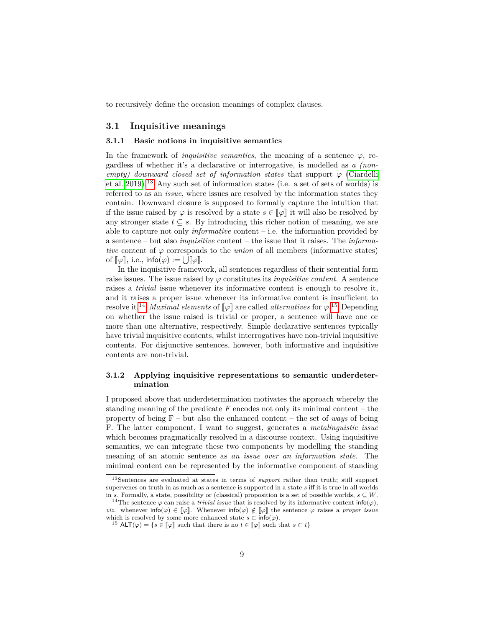to recursively define the occasion meanings of complex clauses.

### **3.1 Inquisitive meanings**

#### **3.1.1 Basic notions in inquisitive semantics**

In the framework of *inquisitive semantics*, the meaning of a sentence  $\varphi$ , regardless of whether it's a declarative or interrogative, is modelled as *a (nonempty)* downward closed set of information states that support  $\varphi$  [\(Ciardelli](#page-24-5) [et al. 2019\)](#page-24-5).[13](#page-9-0) Any such set of information states (i.e. a set of sets of worlds) is referred to as an *issue*, where issues are resolved by the information states they contain. Downward closure is supposed to formally capture the intuition that if the issue raised by  $\varphi$  is resolved by a state  $s \in [\varphi]$  it will also be resolved by any stronger state  $t \subseteq s$ . By introducing this richer notion of meaning, we are able to capture not only *informative* content – i.e. the information provided by a sentence – but also *inquisitive* content – the issue that it raises. The *informative* content of *ϕ* corresponds to the *union* of all members (informative states) of  $[\![\varphi]\!]$ , i.e., info $(\varphi) := \bigcup [\![\varphi]\!]$ .<br>In the inquisitive framew

In the inquisitive framework, all sentences regardless of their sentential form raise issues. The issue raised by  $\varphi$  constitutes its *inquisitive content*. A sentence raises a *trivial* issue whenever its informative content is enough to resolve it, and it raises a proper issue whenever its informative content is insufficient to resolve it.<sup>[14](#page-9-1)</sup> *Maximal elements* of  $\llbracket \varphi \rrbracket$  are called *alternatives* for  $\varphi$ .<sup>[15](#page-9-2)</sup> Depending<br>on whother the issue reject is trivial or proper a septence will have one or on whether the issue raised is trivial or proper, a sentence will have one or more than one alternative, respectively. Simple declarative sentences typically have trivial inquisitive contents, whilst interrogatives have non-trivial inquisitive contents. For disjunctive sentences, however, both informative and inquisitive contents are non-trivial.

### **3.1.2 Applying inquisitive representations to semantic underdetermination**

I proposed above that underdetermination motivates the approach whereby the standing meaning of the predicate *F* encodes not only its minimal content – the property of being F – but also the enhanced content – the set of *ways* of being F. The latter component, I want to suggest, generates a *metalinguistic issue* which becomes pragmatically resolved in a discourse context. Using inquisitive semantics, we can integrate these two components by modelling the standing meaning of an atomic sentence as *an issue over an information state*. The minimal content can be represented by the informative component of standing

<span id="page-9-0"></span><sup>13</sup>Sentences are evaluated at states in terms of *support* rather than truth; still support supervenes on truth in as much as a sentence is supported in a state *s* iff it is true in all worlds in *s*. Formally, a state, possibility or (classical) proposition is a set of possible worlds,  $s \subseteq W$ .

<span id="page-9-1"></span><sup>&</sup>lt;sup>14</sup>The sentence  $\varphi$  can raise a *trivial issue* that is resolved by its informative content info( $\varphi$ ), *viz.* whenever  $\text{info}(\varphi) \in [\varphi]$ . Whenever  $\text{info}(\varphi) \notin [\varphi]$  the sentence  $\varphi$  raises a *proper issue* which is resolved by some more enhanced state  $s \subset \text{info}(\varphi)$ .

<span id="page-9-2"></span><sup>&</sup>lt;sup>15</sup> ALT( $\varphi$ ) = { $s \in [\varphi]$  such that there is no  $t \in [\varphi]$  such that  $s \subset t$ }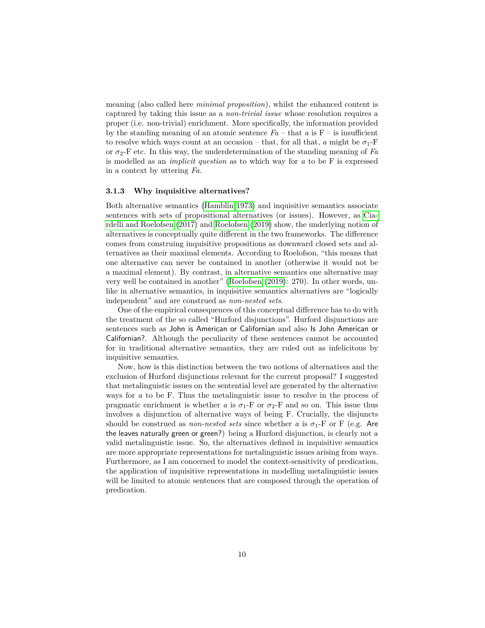meaning (also called here *minimal proposition*), whilst the enhanced content is captured by taking this issue as a *non-trivial issue* whose resolution requires a proper (i.e. non-trivial) enrichment. More specifically, the information provided by the standing meaning of an atomic sentence  $Fa - \text{that } a$  is  $F - \text{is insufficient}$ to resolve which ways count at an occasion – that, for all that, *a* might be  $\sigma_1$ -F or  $\sigma_2$ -F etc. In this way, the underdetermination of the standing meaning of *Fa* is modelled as an *implicit question* as to which way for *a* to be F is expressed in a context by uttering *Fa*.

### **3.1.3 Why inquisitive alternatives?**

Both alternative semantics [\(Hamblin 1973\)](#page-24-2) and inquisitive semantics associate sentences with sets of propositional alternatives (or issues). However, as [Cia](#page-24-6)[rdelli and Roelofsen](#page-24-6) [\(2017\)](#page-24-6) and [Roelofsen](#page-25-4) [\(2019\)](#page-25-4) show, the underlying notion of alternatives is conceptually quite different in the two frameworks. The difference comes from construing inquisitive propositions as downward closed sets and alternatives as their maximal elements. According to Roelofson, "this means that one alternative can never be contained in another (otherwise it would not be a maximal element). By contrast, in alternative semantics one alternative may very well be contained in another" [\(Roelofsen](#page-25-4) [\(2019\)](#page-25-4): 270). In other words, unlike in alternative semantics, in inquisitive semantics alternatives are "logically independent" and are construed as *non-nested sets*.

One of the empirical consequences of this conceptual difference has to do with the treatment of the so called "Hurford disjunctions". Hurford disjunctions are sentences such as John is American or Californian and also Is John American or Californian?. Although the peculiarity of these sentences cannot be accounted for in traditional alternative semantics, they are ruled out as infelicitous by inquisitive semantics.

Now, how is this distinction between the two notions of alternatives and the exclusion of Hurford disjunctions relevant for the current proposal? I suggested that metalinguistic issues on the sentential level are generated by the alternative ways for *a* to be F. Thus the metalinguistic issue to resolve in the process of pragmatic enrichment is whether *a* is  $\sigma_1$ -F or  $\sigma_2$ -F and so on. This issue thus involves a disjunction of alternative ways of being F. Crucially, the disjuncts should be construed as *non-nested sets* since whether *a* is  $\sigma_1$ -F or F (e.g. Are the leaves naturally green or green?) being a Hurford disjunction, is clearly not a valid metalinguistic issue. So, the alternatives defined in inquisitive semantics are more appropriate representations for metalinguistic issues arising from ways. Furthermore, as I am concerned to model the context-sensitivity of predication, the application of inquisitive representations in modelling metalinguistic issues will be limited to atomic sentences that are composed through the operation of predication.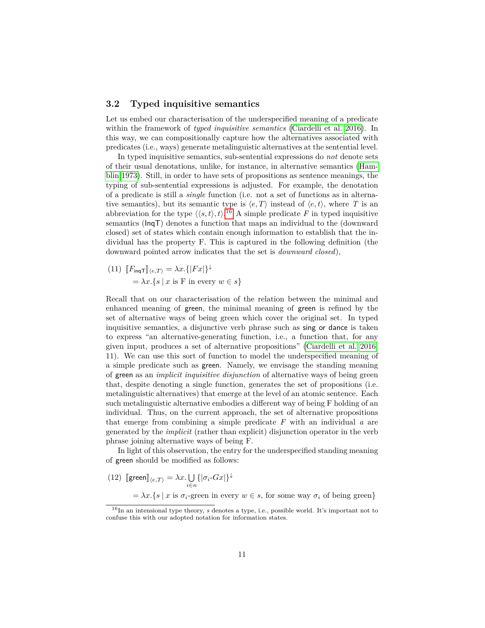### **3.2 Typed inquisitive semantics**

Let us embed our characterisation of the underspecified meaning of a predicate within the framework of *typed inquisitive semantics* [\(Ciardelli et al. 2016\)](#page-24-16). In this way, we can compositionally capture how the alternatives associated with predicates (i.e., ways) generate metalinguistic alternatives at the sentential level.

In typed inquisitive semantics, sub-sentential expressions do *not* denote sets of their usual denotations, unlike, for instance, in alternative semantics [\(Ham](#page-24-2)[blin 1973\)](#page-24-2). Still, in order to have sets of propositions as sentence meanings, the typing of sub-sentential expressions is adjusted. For example, the denotation of a predicate is still a *single* function (i.e. not a set of functions as in alternative semantics), but its semantic type is  $\langle e, T \rangle$  instead of  $\langle e, t \rangle$ , where *T* is an abbreviation for the type  $\langle \langle s, t \rangle, t \rangle$ .<sup>[16](#page-11-0)</sup> A simple predicate *F* in typed inquisitive semantics (InqT) denotes a function that maps an individual to the (downward closed) set of states which contain enough information to establish that the individual has the property F. This is captured in the following definition (the downward pointed arrow indicates that the set is *downward closed*),

(11) 
$$
[F_{\text{inq}}\tau]_{\langle e,T\rangle} = \lambda x.\{|Fx|\}^{\downarrow}
$$

$$
= \lambda x.\{s \mid x \text{ is F in every } w \in s\}
$$

Recall that on our characterisation of the relation between the minimal and enhanced meaning of green, the minimal meaning of green is refined by the set of alternative ways of being green which cover the original set. In typed inquisitive semantics, a disjunctive verb phrase such as sing or dance is taken to express "an alternative-generating function, i.e., a function that, for any given input, produces a set of alternative propositions" [\(Ciardelli et al. 2016:](#page-24-16) 11). We can use this sort of function to model the underspecified meaning of a simple predicate such as green. Namely, we envisage the standing meaning of green as an *implicit inquisitive disjunction* of alternative ways of being green that, despite denoting a single function, generates the set of propositions (i.e. metalinguistic alternatives) that emerge at the level of an atomic sentence. Each such metalinguistic alternative embodies a different way of being F holding of an individual. Thus, on the current approach, the set of alternative propositions that emerge from combining a simple predicate *F* with an individual *a* are generated by the *implicit* (rather than explicit) disjunction operator in the verb phrase joining alternative ways of being F.

In light of this observation, the entry for the underspecified standing meaning of green should be modified as follows:

 $(12)$   $[\text{green}]_{\langle e,T\rangle} = \lambda x. \bigcup_{i\in n} \{|\sigma_i\text{-}Gx|\}^{\downarrow}$ 

 $= \lambda x.\{s \mid x \text{ is } \sigma_i\text{-green in every } w \in s, \text{ for some way } \sigma_i \text{ of being green}\}\$ 

<span id="page-11-0"></span><sup>&</sup>lt;sup>16</sup>In an intensional type theory, *s* denotes a type, i.e., possible world. It's important not to confuse this with our adopted notation for information states.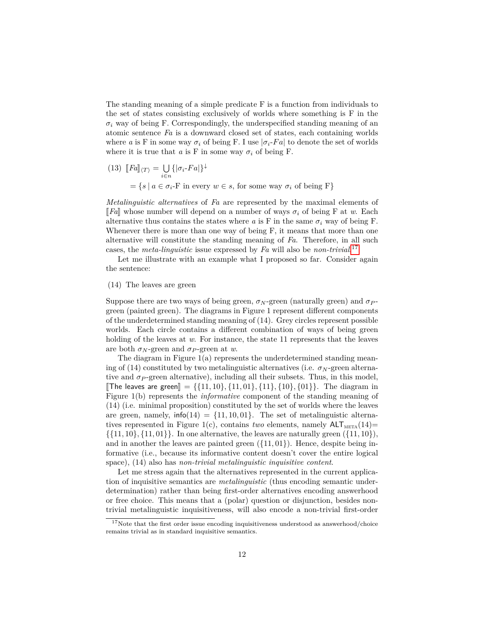The standing meaning of a simple predicate F is a function from individuals to the set of states consisting exclusively of worlds where something is F in the  $\sigma_i$  way of being F. Correspondingly, the underspecified standing meaning of an atomic sentence *Fa* is a downward closed set of states, each containing worlds where *a* is F in some way  $\sigma_i$  of being F. I use  $|\sigma_i$ -Fa to denote the set of worlds where it is true that  $a$  is F in some way  $\sigma_i$  of being F.

(13) 
$$
[Fa]_{\langle T\rangle} = \bigcup_{i \in n} \{|\sigma_i - Fa|\}^{\downarrow}
$$

$$
= \{s \mid a \in \sigma_i - F \text{ in every } w \in s, \text{ for some way } \sigma_i \text{ of being } F\}
$$

*Metalinguistic alternatives* of *Fa* are represented by the maximal elements of  $\llbracket Fa \rrbracket$  whose number will depend on a number of ways  $\sigma_i$  of being F at w. Each alternative thus contains the states where *a* is F in the same  $\sigma_i$  way of being F. Whenever there is more than one way of being F, it means that more than one alternative will constitute the standing meaning of *Fa*. Therefore, in all such cases, the *meta-linguistic* issue expressed by *Fa* will also be *non-trivial*. [17](#page-12-0)

Let me illustrate with an example what I proposed so far. Consider again the sentence:

### (14) The leaves are green

Suppose there are two ways of being green,  $\sigma_N$ -green (naturally green) and  $\sigma_P$ green (painted green). The diagrams in Figure 1 represent different components of the underdetermined standing meaning of (14). Grey circles represent possible worlds. Each circle contains a different combination of ways of being green holding of the leaves at *w*. For instance, the state 11 represents that the leaves are both  $\sigma_N$ -green and  $\sigma_P$ -green at *w*.

The diagram in Figure  $1(a)$  represents the underdetermined standing meaning of (14) constituted by two metalinguistic alternatives (i.e.  $\sigma_N$ -green alternative and  $\sigma_P$ -green alternative), including all their subsets. Thus, in this model,  $\llbracket$ The leaves are green $\llbracket = \{ \{11, 10\}, \{11, 01\}, \{11\}, \{10\}, \{01\} \}$ . The diagram in Figure 1(b) represents the *informative* component of the standing meaning of (14) (i.e. minimal proposition) constituted by the set of worlds where the leaves are green, namely,  $\text{info}(14) = \{11, 10, 01\}$ . The set of metalinguistic alternatives represented in Figure 1(c), contains *two* elements, namely  $ALT_{META}(14)$ =  $\{\{11, 10\}, \{11, 01\}\}\.$  In one alternative, the leaves are naturally green  $(\{11, 10\})$ , and in another the leaves are painted green  $({11, 01})$ . Hence, despite being informative (i.e., because its informative content doesn't cover the entire logical space), (14) also has *non-trivial metalinguistic inquisitive content*.

Let me stress again that the alternatives represented in the current application of inquisitive semantics are *metalinguistic* (thus encoding semantic underdetermination) rather than being first-order alternatives encoding answerhood or free choice. This means that a (polar) question or disjunction, besides nontrivial metalinguistic inquisitiveness, will also encode a non-trivial first-order

<span id="page-12-0"></span> $17$ Note that the first order issue encoding inquisitiveness understood as answerhood/choice remains trivial as in standard inquisitive semantics.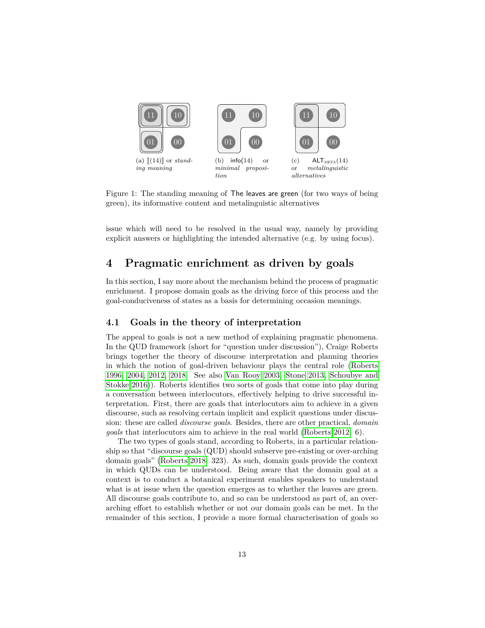

Figure 1: The standing meaning of The leaves are green (for two ways of being green), its informative content and metalinguistic alternatives

issue which will need to be resolved in the usual way, namely by providing explicit answers or highlighting the intended alternative (e.g. by using focus).

### **4 Pragmatic enrichment as driven by goals**

In this section, I say more about the mechanism behind the process of pragmatic enrichment. I propose domain goals as the driving force of this process and the goal-conduciveness of states as a basis for determining occasion meanings.

### **4.1 Goals in the theory of interpretation**

The appeal to goals is not a new method of explaining pragmatic phenomena. In the QUD framework (short for "question under discussion"), Craige Roberts brings together the theory of discourse interpretation and planning theories in which the notion of goal-driven behaviour plays the central role [\(Roberts](#page-25-14) [1996,](#page-25-14) [2004,](#page-25-15) [2012,](#page-25-16) [2018.](#page-25-17) See also [Van Rooy 2003,](#page-26-15) [Stone 2013,](#page-26-16) [Schoubye and](#page-26-17) [Stokke 2016\)](#page-26-17)). Roberts identifies two sorts of goals that come into play during a conversation between interlocutors, effectively helping to drive successful interpretation. First, there are goals that interlocutors aim to achieve in a given discourse, such as resolving certain implicit and explicit questions under discussion: these are called *discourse goals*. Besides, there are other practical, *domain goals* that interlocutors aim to achieve in the real world [\(Roberts 2012:](#page-25-16) 6).

The two types of goals stand, according to Roberts, in a particular relationship so that "discourse goals (QUD) should subserve pre-existing or over-arching domain goals" [\(Roberts 2018:](#page-25-17) 323). As such, domain goals provide the context in which QUDs can be understood. Being aware that the domain goal at a context is to conduct a botanical experiment enables speakers to understand what is at issue when the question emerges as to whether the leaves are green. All discourse goals contribute to, and so can be understood as part of, an overarching effort to establish whether or not our domain goals can be met. In the remainder of this section, I provide a more formal characterisation of goals so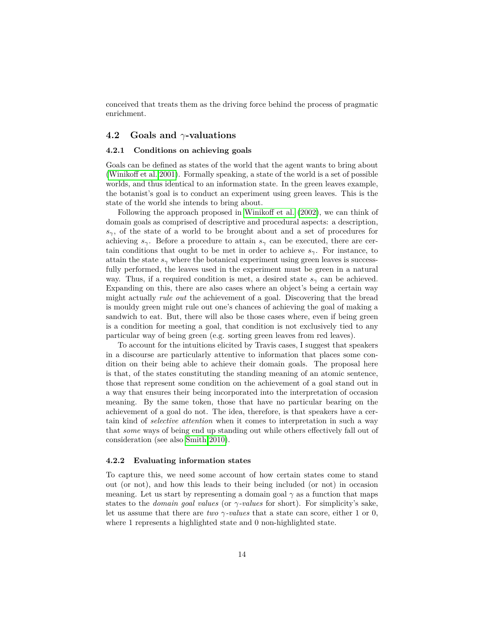conceived that treats them as the driving force behind the process of pragmatic enrichment.

### **4.2 Goals and** *γ***-valuations**

#### **4.2.1 Conditions on achieving goals**

Goals can be defined as states of the world that the agent wants to bring about [\(Winikoff et al. 2001\)](#page-27-2). Formally speaking, a state of the world is a set of possible worlds, and thus identical to an information state. In the green leaves example, the botanist's goal is to conduct an experiment using green leaves. This is the state of the world she intends to bring about.

Following the approach proposed in [Winikoff et al.](#page-27-3) [\(2002\)](#page-27-3), we can think of domain goals as comprised of descriptive and procedural aspects: a description,  $s<sub>γ</sub>$ , of the state of a world to be brought about and a set of procedures for achieving  $s_\gamma$ . Before a procedure to attain  $s_\gamma$  can be executed, there are certain conditions that ought to be met in order to achieve *sγ*. For instance, to attain the state  $s_\gamma$  where the botanical experiment using green leaves is successfully performed, the leaves used in the experiment must be green in a natural way. Thus, if a required condition is met, a desired state  $s<sub>γ</sub>$  can be achieved. Expanding on this, there are also cases where an object's being a certain way might actually *rule out* the achievement of a goal. Discovering that the bread is mouldy green might rule out one's chances of achieving the goal of making a sandwich to eat. But, there will also be those cases where, even if being green is a condition for meeting a goal, that condition is not exclusively tied to any particular way of being green (e.g. sorting green leaves from red leaves).

To account for the intuitions elicited by Travis cases, I suggest that speakers in a discourse are particularly attentive to information that places some condition on their being able to achieve their domain goals. The proposal here is that, of the states constituting the standing meaning of an atomic sentence, those that represent some condition on the achievement of a goal stand out in a way that ensures their being incorporated into the interpretation of occasion meaning. By the same token, those that have no particular bearing on the achievement of a goal do not. The idea, therefore, is that speakers have a certain kind of *selective attention* when it comes to interpretation in such a way that *some* ways of being end up standing out while others effectively fall out of consideration (see also [Smith 2010\)](#page-26-18).

### **4.2.2 Evaluating information states**

To capture this, we need some account of how certain states come to stand out (or not), and how this leads to their being included (or not) in occasion meaning. Let us start by representing a domain goal  $\gamma$  as a function that maps states to the *domain goal values* (or *γ-values* for short). For simplicity's sake, let us assume that there are *two γ-values* that a state can score, either 1 or 0, where 1 represents a highlighted state and 0 non-highlighted state.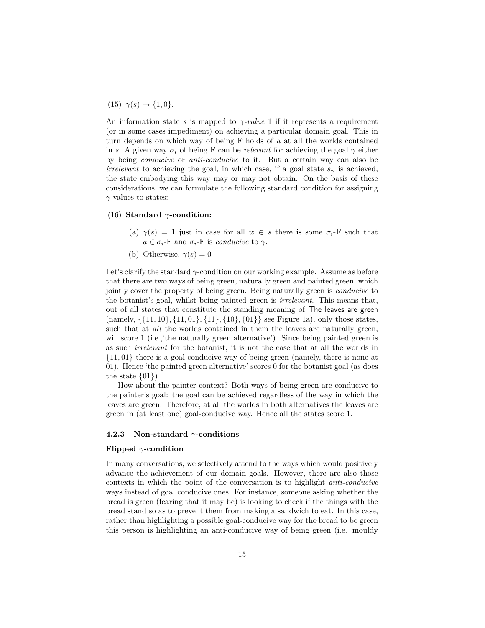$(15)$   $\gamma(s) \mapsto \{1, 0\}.$ 

An information state *s* is mapped to  $\gamma$ -value 1 if it represents a requirement (or in some cases impediment) on achieving a particular domain goal. This in turn depends on which way of being F holds of *a* at all the worlds contained in *s*. A given way  $\sigma_i$  of being F can be *relevant* for achieving the goal  $\gamma$  either by being *conducive* or *anti-conducive* to it. But a certain way can also be *irrelevant* to achieving the goal, in which case, if a goal state  $s<sub>γ</sub>$  is achieved, the state embodying this way may or may not obtain. On the basis of these considerations, we can formulate the following standard condition for assigning *γ*-values to states:

### (16) **Standard** *γ***-condition:**

- (a)  $\gamma(s) = 1$  just in case for all  $w \in s$  there is some  $\sigma_i$ -F such that  $a \in \sigma_i$ -F and  $\sigma_i$ -F is *conducive* to  $\gamma$ .
- (b) Otherwise,  $\gamma(s) = 0$

Let's clarify the standard *γ*-condition on our working example. Assume as before that there are two ways of being green, naturally green and painted green, which jointly cover the property of being green. Being naturally green is *conducive* to the botanist's goal, whilst being painted green is *irrelevant*. This means that, out of all states that constitute the standing meaning of The leaves are green (namely, {{11*,* 10}*,* {11*,* 01}*,* {11}*,* {10}*,* {01}} see Figure 1a), only those states, such that at *all* the worlds contained in them the leaves are naturally green, will score 1 (i.e., the naturally green alternative'). Since being painted green is as such *irrelevant* for the botanist, it is not the case that at all the worlds in {11*,* 01} there is a goal-conducive way of being green (namely, there is none at 01). Hence 'the painted green alternative' scores 0 for the botanist goal (as does the state  $\{01\}$ .

How about the painter context? Both ways of being green are conducive to the painter's goal: the goal can be achieved regardless of the way in which the leaves are green. Therefore, at all the worlds in both alternatives the leaves are green in (at least one) goal-conducive way. Hence all the states score 1.

#### **4.2.3 Non-standard** *γ***-conditions**

#### **Flipped** *γ***-condition**

In many conversations, we selectively attend to the ways which would positively advance the achievement of our domain goals. However, there are also those contexts in which the point of the conversation is to highlight *anti-conducive* ways instead of goal conducive ones. For instance, someone asking whether the bread is green (fearing that it may be) is looking to check if the things with the bread stand so as to prevent them from making a sandwich to eat. In this case, rather than highlighting a possible goal-conducive way for the bread to be green this person is highlighting an anti-conducive way of being green (i.e. mouldy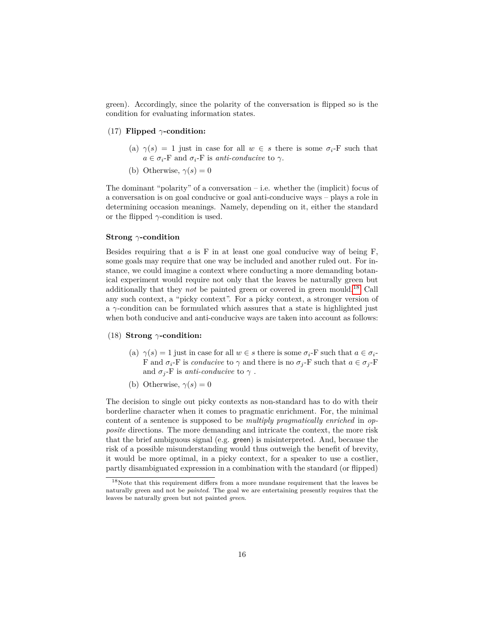green). Accordingly, since the polarity of the conversation is flipped so is the condition for evaluating information states.

### (17) **Flipped** *γ***-condition:**

- (a)  $\gamma(s) = 1$  just in case for all  $w \in s$  there is some  $\sigma_i$ -F such that  $a \in \sigma_i$ -F and  $\sigma_i$ -F is *anti-conducive* to  $\gamma$ .
- (b) Otherwise,  $\gamma(s) = 0$

The dominant "polarity" of a conversation  $-$  i.e. whether the (implicit) focus of a conversation is on goal conducive or goal anti-conducive ways – plays a role in determining occasion meanings. Namely, depending on it, either the standard or the flipped *γ*-condition is used.

### **Strong** *γ***-condition**

Besides requiring that *a* is F in at least one goal conducive way of being F, some goals may require that one way be included and another ruled out. For instance, we could imagine a context where conducting a more demanding botanical experiment would require not only that the leaves be naturally green but additionally that they *not* be painted green or covered in green mould.[18](#page-16-0) Call any such context, a "picky context". For a picky context, a stronger version of a *γ*-condition can be formulated which assures that a state is highlighted just when both conducive and anti-conducive ways are taken into account as follows:

### (18) **Strong** *γ***-condition:**

- (a)  $\gamma(s) = 1$  just in case for all  $w \in s$  there is some  $\sigma_i$ -F such that  $a \in \sigma_i$ -F and  $\sigma_i$ -F is *conducive* to  $\gamma$  and there is no  $\sigma_j$ -F such that  $a \in \sigma_j$ -F and  $\sigma_j$ -F is *anti-conducive* to  $\gamma$ .
- (b) Otherwise,  $\gamma(s) = 0$

The decision to single out picky contexts as non-standard has to do with their borderline character when it comes to pragmatic enrichment. For, the minimal content of a sentence is supposed to be *multiply pragmatically enriched* in *opposite* directions. The more demanding and intricate the context, the more risk that the brief ambiguous signal (e.g. green) is misinterpreted. And, because the risk of a possible misunderstanding would thus outweigh the benefit of brevity, it would be more optimal, in a picky context, for a speaker to use a costlier, partly disambiguated expression in a combination with the standard (or flipped)

<span id="page-16-0"></span><sup>&</sup>lt;sup>18</sup>Note that this requirement differs from a more mundane requirement that the leaves be naturally green and not be *painted*. The goal we are entertaining presently requires that the leaves be naturally green but not painted *green*.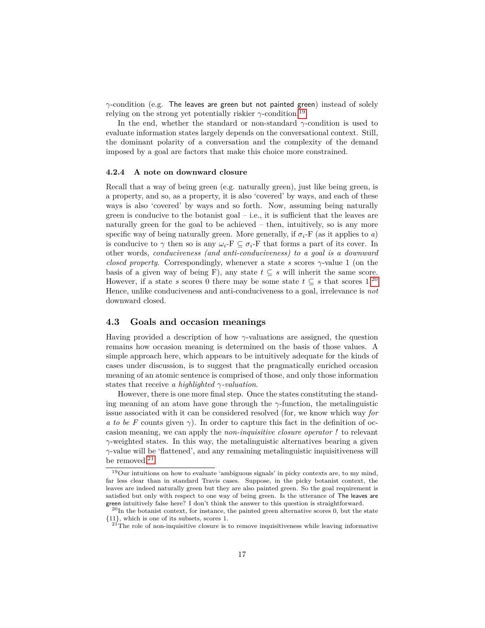*γ*-condition (e.g. The leaves are green but not painted green) instead of solely relying on the strong yet potentially riskier  $\gamma$ -condition.<sup>[19](#page-17-0)</sup>

In the end, whether the standard or non-standard  $\gamma$ -condition is used to evaluate information states largely depends on the conversational context. Still, the dominant polarity of a conversation and the complexity of the demand imposed by a goal are factors that make this choice more constrained.

### **4.2.4 A note on downward closure**

Recall that a way of being green (e.g. naturally green), just like being green, is a property, and so, as a property, it is also 'covered' by ways, and each of these ways is also 'covered' by ways and so forth. Now, assuming being naturally green is conducive to the botanist goal  $-$  i.e., it is sufficient that the leaves are naturally green for the goal to be achieved – then, intuitively, so is any more specific way of being naturally green. More generally, if  $\sigma_i$ -F (as it applies to *a*) is conducive to  $\gamma$  then so is any  $\omega_i$ -F  $\subseteq \sigma_i$ -F that forms a part of its cover. In other words, *conduciveness (and anti-conduciveness) to a goal is a downward closed property*. Correspondingly, whenever a state *s* scores *γ*-value 1 (on the basis of a given way of being F), any state  $t \subseteq s$  will inherit the same score. However, if a state *s* scores 0 there may be some state  $t \subseteq s$  that scores 1.<sup>[20](#page-17-1)</sup> Hence, unlike conduciveness and anti-conduciveness to a goal, irrelevance is *not* downward closed.

### **4.3 Goals and occasion meanings**

Having provided a description of how *γ*-valuations are assigned, the question remains how occasion meaning is determined on the basis of those values. A simple approach here, which appears to be intuitively adequate for the kinds of cases under discussion, is to suggest that the pragmatically enriched occasion meaning of an atomic sentence is comprised of those, and only those information states that receive *a highlighted γ-valuation*.

However, there is one more final step. Once the states constituting the standing meaning of an atom have gone through the  $\gamma$ -function, the metalinguistic issue associated with it can be considered resolved (for, we know which way *for a to be F* counts given *γ*). In order to capture this fact in the definition of occasion meaning, we can apply the *non-inquisitive closure operator !* to relevant *γ*-weighted states. In this way, the metalinguistic alternatives bearing a given *γ*-value will be 'flattened', and any remaining metalinguistic inquisitiveness will be removed.<sup>[21](#page-17-2)</sup>

<span id="page-17-0"></span><sup>19</sup>Our intuitions on how to evaluate 'ambiguous signals' in picky contexts are, to my mind, far less clear than in standard Travis cases. Suppose, in the picky botanist context, the leaves are indeed naturally green but they are also painted green. So the goal requirement is satisfied but only with respect to one way of being green. Is the utterance of The leaves are green intuitively false here? I don't think the answer to this question is straightforward.

<span id="page-17-1"></span> $^{20}$ In the botanist context, for instance, the painted green alternative scores 0, but the state {11}, which is one of its subsets, scores 1.

<span id="page-17-2"></span> $2^{1}$ The role of non-inquisitive closure is to remove inquisitiveness while leaving informative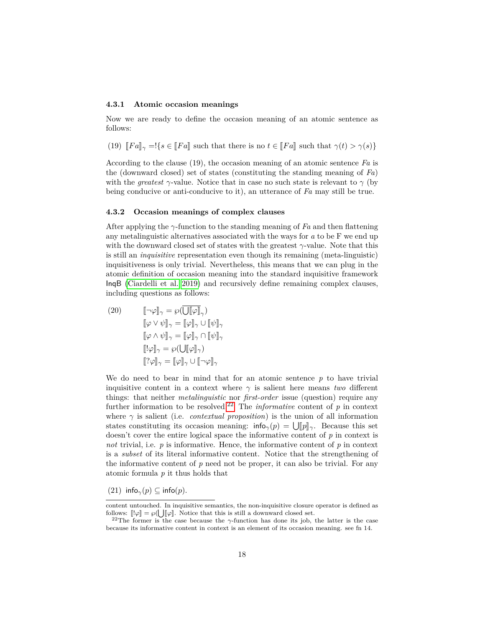#### **4.3.1 Atomic occasion meanings**

Now we are ready to define the occasion meaning of an atomic sentence as follows:

(19)  $\llbracket Fa \rrbracket_{\gamma} = \frac{1}{s} \in \llbracket Fa \rrbracket$  such that there is no  $t \in \llbracket Fa \rrbracket$  such that  $\gamma(t) > \gamma(s)$ }

According to the clause (19), the occasion meaning of an atomic sentence *Fa* is the (downward closed) set of states (constituting the standing meaning of *Fa*) with the *greatest*  $\gamma$ -value. Notice that in case no such state is relevant to  $\gamma$  (by being conducive or anti-conducive to it), an utterance of *Fa* may still be true.

### **4.3.2 Occasion meanings of complex clauses**

After applying the *γ*-function to the standing meaning of *Fa* and then flattening any metalinguistic alternatives associated with the ways for *a* to be F we end up with the downward closed set of states with the greatest *γ*-value. Note that this is still an *inquisitive* representation even though its remaining (meta-linguistic) inquisitiveness is only trivial. Nevertheless, this means that we can plug in the atomic definition of occasion meaning into the standard inquisitive framework InqB [\(Ciardelli et al. 2019\)](#page-24-5) and recursively define remaining complex clauses, including questions as follows:

(20) 
$$
\llbracket \neg \varphi \rrbracket_{\gamma} = \wp(\overline{\bigcup}[\varphi]\rrbracket_{\gamma}) \llbracket \varphi \lor \psi \rrbracket_{\gamma} = [\varphi]\rrbracket_{\gamma} \cup [\psi]\rrbracket_{\gamma} \llbracket \varphi \land \psi \rrbracket_{\gamma} = [\varphi]\rrbracket_{\gamma} \cap [\psi]\rrbracket_{\gamma} \llbracket !\varphi \rrbracket_{\gamma} = \wp(\bigcup [\varphi]\rrbracket_{\gamma}) \llbracket !\varphi \rrbracket_{\gamma} = [\varphi]\rrbracket_{\gamma} \cup [\neg \varphi]\rrbracket_{\gamma}
$$

We do need to bear in mind that for an atomic sentence  $p$  to have trivial inquisitive content in a context where  $\gamma$  is salient here means *two* different things: that neither *metalinguistic* nor *first-order* issue (question) require any further information to be resolved.<sup>[22](#page-18-0)</sup> The *informative* content of  $p$  in context where  $\gamma$  is salient (i.e. *contextual proposition*) is the union of all information states constituting its occasion meaning:  $\inf_{\gamma}(p) = \bigcup_{\gamma} [p]_{\gamma}$ . Because this set doesn't cover the entire logical space the informative content of *p* in context is *not* trivial, i.e. *p* is informative. Hence, the informative content of *p* in context is a *subset* of its literal informative content. Notice that the strengthening of the informative content of  $p$  need not be proper, it can also be trivial. For any atomic formula *p* it thus holds that

 $(21)$  info<sub> $\gamma$ </sub> $(p) \subseteq$  info $(p)$ *.* 

content untouched. In inquisitive semantics, the non-inquisitive closure operator is defined as follows:  $\llbracket \psi \rrbracket = \wp(\bigcup \llbracket \varphi \rrbracket)$ . Notice that this is still a downward closed set.<br><sup>22</sup>The former is the case because the  $\alpha$  function has done its job

<span id="page-18-0"></span><sup>&</sup>lt;sup>22</sup>The former is the case because the  $\gamma$ -function has done its job, the latter is the case because its informative content in context is an element of its occasion meaning. see fn 14.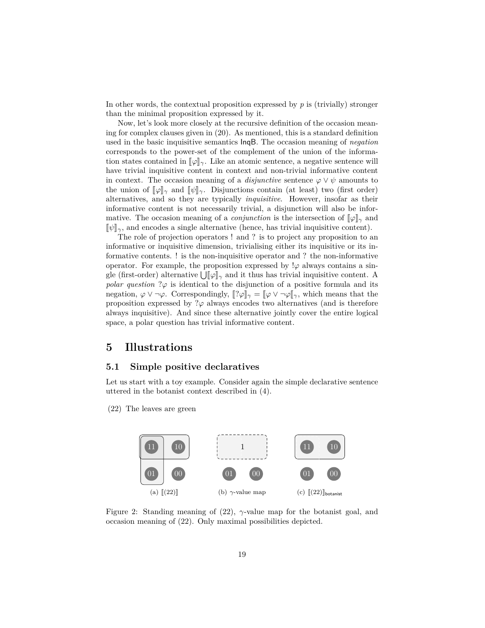In other words, the contextual proposition expressed by *p* is (trivially) stronger than the minimal proposition expressed by it.

Now, let's look more closely at the recursive definition of the occasion meaning for complex clauses given in (20). As mentioned, this is a standard definition used in the basic inquisitive semantics InqB. The occasion meaning of *negation* corresponds to the power-set of the complement of the union of the information states contained in  $\llbracket \varphi \rrbracket_{\gamma}$ . Like an atomic sentence, a negative sentence will have trivial inquisitive content in context and non-trivial informative content in context. The occasion meaning of a *disjunctive* sentence  $\varphi \vee \psi$  amounts to the union of  $\llbracket \varphi \rrbracket_\gamma$  and  $\llbracket \psi \rrbracket_\gamma$ . Disjunctions contain (at least) two (first order) alternatives, and so they are typically *inquisitive*. However, insofar as their informative content is not necessarily trivial, a disjunction will also be informative. The occasion meaning of a *conjunction* is the intersection of  $\llbracket \varphi \rrbracket_\gamma$  and  $\llbracket \psi \rrbracket_{\gamma}$ , and encodes a single alternative (hence, has trivial inquisitive content).

The role of projection operators ! and ? is to project any proposition to an informative or inquisitive dimension, trivialising either its inquisitive or its informative contents. ! is the non-inquisitive operator and ? the non-informative operator. For example, the proposition expressed by  $\varphi$  always contains a single (first-order) alternative  $\bigcup_{\alpha} [\varphi]_{\gamma}$  and it thus has trivial inquisitive content. A *polar question* ? $\varphi$  is identical to the disjunction of a positive formula and its negation,  $\varphi \vee \neg \varphi$ . Correspondingly,  $\llbracket ?\varphi \rrbracket_\gamma = \llbracket \varphi \vee \neg \varphi \rrbracket_\gamma$ , which means that the proposition expressed by  $\partial \varphi$  always encodes two alternatives (and is therefore always inquisitive). And since these alternative jointly cover the entire logical space, a polar question has trivial informative content.

### **5 Illustrations**

### **5.1 Simple positive declaratives**

Let us start with a toy example. Consider again the simple declarative sentence uttered in the botanist context described in (4).

(22) The leaves are green



Figure 2: Standing meaning of (22), *γ*-value map for the botanist goal, and occasion meaning of (22). Only maximal possibilities depicted.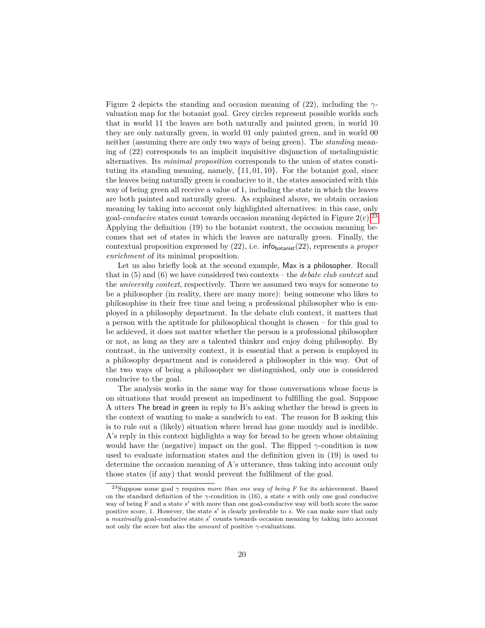Figure 2 depicts the standing and occasion meaning of (22), including the *γ*valuation map for the botanist goal. Grey circles represent possible worlds such that in world 11 the leaves are both naturally and painted green, in world 10 they are only naturally green, in world 01 only painted green, and in world 00 neither (assuming there are only two ways of being green). The *standing* meaning of (22) corresponds to an implicit inquisitive disjunction of metalinguistic alternatives. Its *minimal proposition* corresponds to the union of states constituting its standing meaning, namely, {11*,* 01*,* 10}. For the botanist goal, since the leaves being naturally green is conducive to it, the states associated with this way of being green all receive a value of 1, including the state in which the leaves are both painted and naturally green. As explained above, we obtain occasion meaning by taking into account only highlighted alternatives: in this case, only goal-*conducive* states count towards occasion meaning depicted in Figure  $2(c)$ .<sup>[23](#page-20-0)</sup> Applying the definition (19) to the botanist context, the occasion meaning becomes that set of states in which the leaves are naturally green. Finally, the contextual proposition expressed by (22), i.e. infobotanist(22), represents a *proper enrichment* of its minimal proposition.

Let us also briefly look at the second example, Max is a philosopher. Recall that in (5) and (6) we have considered two contexts – the *debate club context* and the *university context*, respectively. There we assumed two ways for someone to be a philosopher (in reality, there are many more): being someone who likes to philosophise in their free time and being a professional philosopher who is employed in a philosophy department. In the debate club context, it matters that a person with the aptitude for philosophical thought is chosen – for this goal to be achieved, it does not matter whether the person is a professional philosopher or not, as long as they are a talented thinker and enjoy doing philosophy. By contrast, in the university context, it is essential that a person is employed in a philosophy department and is considered a philosopher in this way. Out of the two ways of being a philosopher we distinguished, only one is considered conducive to the goal.

The analysis works in the same way for those conversations whose focus is on situations that would present an impediment to fulfilling the goal. Suppose A utters The bread in green in reply to B's asking whether the bread is green in the context of wanting to make a sandwich to eat. The reason for B asking this is to rule out a (likely) situation where bread has gone mouldy and is inedible. A's reply in this context highlights a way for bread to be green whose obtaining would have the (negative) impact on the goal. The flipped  $\gamma$ -condition is now used to evaluate information states and the definition given in (19) is used to determine the occasion meaning of A's utterance, thus taking into account only those states (if any) that would prevent the fulfilment of the goal.

<span id="page-20-0"></span><sup>&</sup>lt;sup>23</sup>Suppose some goal  $\gamma$  requires *more than one way of being F* for its achievement. Based on the standard definition of the *γ*-condition in (16), a state *s* with only one goal conducive way of being F and a state s' with more than one goal-conducive way will both score the same positive score, 1. However, the state s' is clearly preferable to s. We can make sure that only a *maximally* goal-conducive state *s'* counts towards occasion meaning by taking into account not only the score but also the *amount* of positive *γ*-evaluations.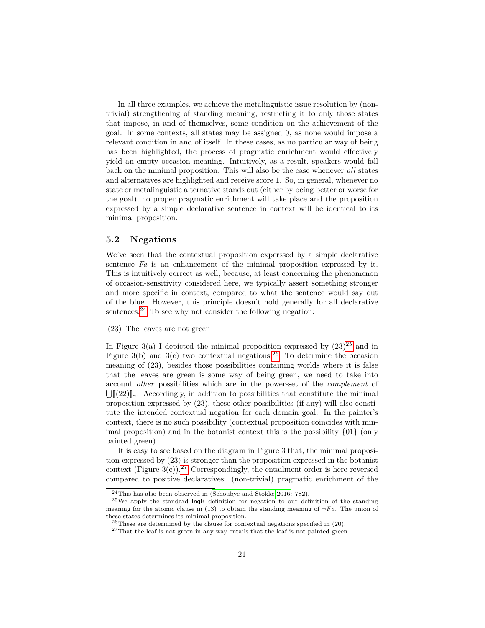In all three examples, we achieve the metalinguistic issue resolution by (nontrivial) strengthening of standing meaning, restricting it to only those states that impose, in and of themselves, some condition on the achievement of the goal. In some contexts, all states may be assigned 0, as none would impose a relevant condition in and of itself. In these cases, as no particular way of being has been highlighted, the process of pragmatic enrichment would effectively yield an empty occasion meaning. Intuitively, as a result, speakers would fall back on the minimal proposition. This will also be the case whenever *all* states and alternatives are highlighted and receive score 1. So, in general, whenever no state or metalinguistic alternative stands out (either by being better or worse for the goal), no proper pragmatic enrichment will take place and the proposition expressed by a simple declarative sentence in context will be identical to its minimal proposition.

### **5.2 Negations**

We've seen that the contextual proposition experssed by a simple declarative sentence *Fa* is an enhancement of the minimal proposition expressed by it. This is intuitively correct as well, because, at least concerning the phenomenon of occasion-sensitivity considered here, we typically assert something stronger and more specific in context, compared to what the sentence would say out of the blue. However, this principle doesn't hold generally for all declarative sentences. $^{24}$  $^{24}$  $^{24}$  To see why not consider the following negation:

(23) The leaves are not green

In Figure 3(a) I depicted the minimal proposition expressed by  $(23)^{25}$  $(23)^{25}$  $(23)^{25}$  and in Figure 3(b) and 3(c) two contextual negations.<sup>[26](#page-21-2)</sup> To determine the occasion meaning of (23), besides those possibilities containing worlds where it is false that the leaves are green is some way of being green, we need to take into account *other* possibilities which are in the power-set of the *complement* of  $\bigcup$  (22)  $\downarrow$ *γ*. Accordingly, in addition to possibilities that constitute the minimal proposition expressed by (23) these other possibilities (if any) will also consti proposition expressed by (23), these other possibilities (if any) will also constitute the intended contextual negation for each domain goal. In the painter's context, there is no such possibility (contextual proposition coincides with minimal proposition) and in the botanist context this is the possibility  $\{01\}$  (only painted green).

It is easy to see based on the diagram in Figure 3 that, the minimal proposition expressed by (23) is stronger than the proposition expressed in the botanist context (Figure  $3(c)$ ).<sup>[27](#page-21-3)</sup> Correspondingly, the entailment order is here reversed compared to positive declaratives: (non-trivial) pragmatic enrichment of the

<span id="page-21-1"></span><span id="page-21-0"></span><sup>&</sup>lt;sup>24</sup>This has also been observed in [\(Schoubye and Stokke 2016:](#page-26-17) 782).

<sup>25</sup>We apply the standard InqB definition for negation to our definition of the standing meaning for the atomic clause in (13) to obtain the standing meaning of  $\neg Fa$ . The union of these states determines its minimal proposition.

<span id="page-21-2"></span> $^{26}$ These are determined by the clause for contextual negations specified in (20).

<span id="page-21-3"></span><sup>27</sup>That the leaf is not green in any way entails that the leaf is not painted green.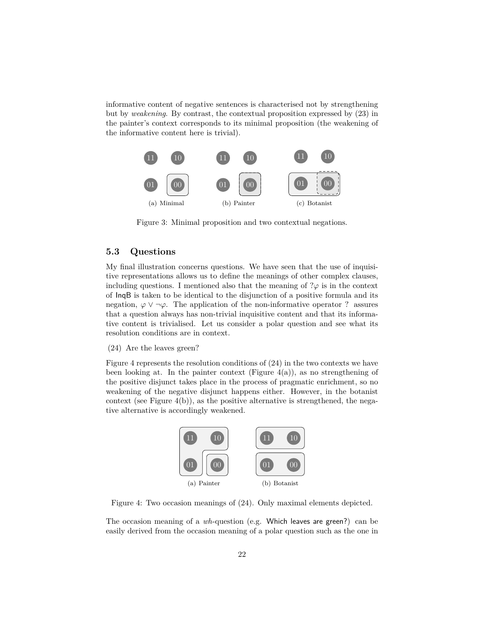informative content of negative sentences is characterised not by strengthening but by *weakening*. By contrast, the contextual proposition expressed by (23) in the painter's context corresponds to its minimal proposition (the weakening of the informative content here is trivial).



Figure 3: Minimal proposition and two contextual negations.

### **5.3 Questions**

My final illustration concerns questions. We have seen that the use of inquisitive representations allows us to define the meanings of other complex clauses, including questions. I mentioned also that the meaning of  $\mathcal{P}\varphi$  is in the context of InqB is taken to be identical to the disjunction of a positive formula and its negation,  $\varphi \vee \neg \varphi$ . The application of the non-informative operator ? assures that a question always has non-trivial inquisitive content and that its informative content is trivialised. Let us consider a polar question and see what its resolution conditions are in context.

(24) Are the leaves green?

Figure 4 represents the resolution conditions of (24) in the two contexts we have been looking at. In the painter context (Figure  $4(a)$ ), as no strengthening of the positive disjunct takes place in the process of pragmatic enrichment, so no weakening of the negative disjunct happens either. However, in the botanist context (see Figure 4(b)), as the positive alternative is strengthened, the negative alternative is accordingly weakened.



Figure 4: Two occasion meanings of (24). Only maximal elements depicted.

The occasion meaning of a *wh*-question (e.g. Which leaves are green?) can be easily derived from the occasion meaning of a polar question such as the one in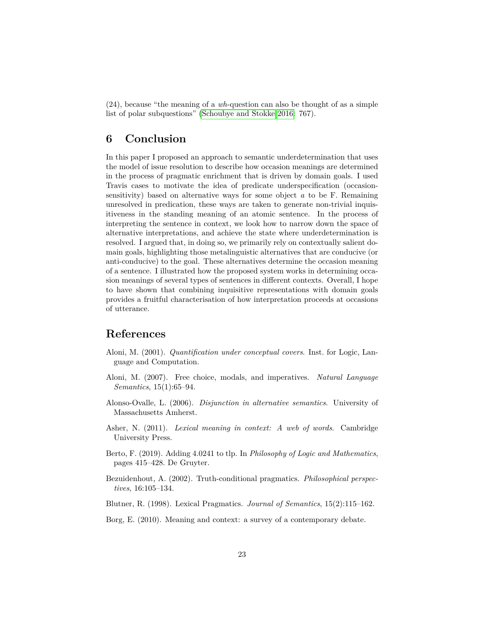(24), because "the meaning of a *wh*-question can also be thought of as a simple list of polar subquestions" [\(Schoubye and Stokke 2016:](#page-26-17) 767).

### **6 Conclusion**

In this paper I proposed an approach to semantic underdetermination that uses the model of issue resolution to describe how occasion meanings are determined in the process of pragmatic enrichment that is driven by domain goals. I used Travis cases to motivate the idea of predicate underspecification (occasionsensitivity) based on alternative ways for some object *a* to be F. Remaining unresolved in predication, these ways are taken to generate non-trivial inquisitiveness in the standing meaning of an atomic sentence. In the process of interpreting the sentence in context, we look how to narrow down the space of alternative interpretations, and achieve the state where underdetermination is resolved. I argued that, in doing so, we primarily rely on contextually salient domain goals, highlighting those metalinguistic alternatives that are conducive (or anti-conducive) to the goal. These alternatives determine the occasion meaning of a sentence. I illustrated how the proposed system works in determining occasion meanings of several types of sentences in different contexts. Overall, I hope to have shown that combining inquisitive representations with domain goals provides a fruitful characterisation of how interpretation proceeds at occasions of utterance.

### **References**

- <span id="page-23-5"></span>Aloni, M. (2001). *Quantification under conceptual covers*. Inst. for Logic, Language and Computation.
- <span id="page-23-0"></span>Aloni, M. (2007). Free choice, modals, and imperatives. *Natural Language Semantics*, 15(1):65–94.
- <span id="page-23-1"></span>Alonso-Ovalle, L. (2006). *Disjunction in alternative semantics*. University of Massachusetts Amherst.
- <span id="page-23-2"></span>Asher, N. (2011). *Lexical meaning in context: A web of words*. Cambridge University Press.
- <span id="page-23-4"></span>Berto, F. (2019). Adding 4.0241 to tlp. In *Philosophy of Logic and Mathematics*, pages 415–428. De Gruyter.
- <span id="page-23-7"></span>Bezuidenhout, A. (2002). Truth-conditional pragmatics. *Philosophical perspectives*, 16:105–134.
- <span id="page-23-6"></span>Blutner, R. (1998). Lexical Pragmatics. *Journal of Semantics*, 15(2):115–162.
- <span id="page-23-3"></span>Borg, E. (2010). Meaning and context: a survey of a contemporary debate.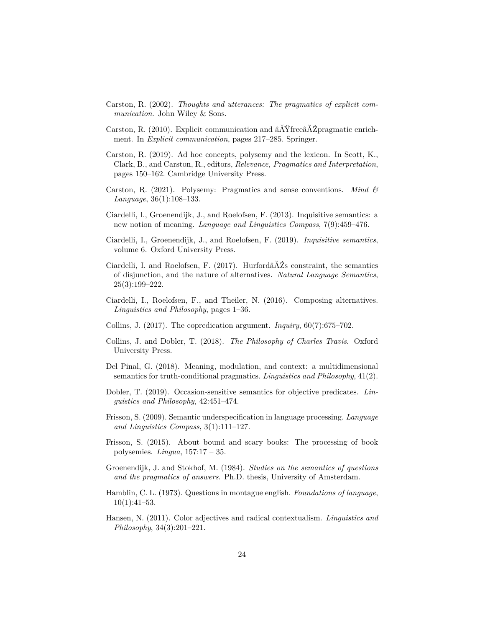- <span id="page-24-0"></span>Carston, R. (2002). *Thoughts and utterances: The pragmatics of explicit communication*. John Wiley & Sons.
- <span id="page-24-12"></span>Carston, R. (2010). Explicit communication and âĂŸfreeâĂŹpragmatic enrichment. In *Explicit communication*, pages 217–285. Springer.
- <span id="page-24-10"></span>Carston, R. (2019). Ad hoc concepts, polysemy and the lexicon. In Scott, K., Clark, B., and Carston, R., editors, *Relevance, Pragmatics and Interpretation*, pages 150–162. Cambridge University Press.
- <span id="page-24-15"></span>Carston, R. (2021). Polysemy: Pragmatics and sense conventions. *Mind & Language*, 36(1):108–133.
- <span id="page-24-4"></span>Ciardelli, I., Groenendijk, J., and Roelofsen, F. (2013). Inquisitive semantics: a new notion of meaning. *Language and Linguistics Compass*, 7(9):459–476.
- <span id="page-24-5"></span>Ciardelli, I., Groenendijk, J., and Roelofsen, F. (2019). *Inquisitive semantics*, volume 6. Oxford University Press.
- <span id="page-24-6"></span>Ciardelli, I. and Roelofsen, F. (2017). Hurfordâ $\tilde{A}Z$ s constraint, the semantics of disjunction, and the nature of alternatives. *Natural Language Semantics*, 25(3):199–222.
- <span id="page-24-16"></span>Ciardelli, I., Roelofsen, F., and Theiler, N. (2016). Composing alternatives. *Linguistics and Philosophy*, pages 1–36.
- <span id="page-24-13"></span>Collins, J. (2017). The copredication argument. *Inquiry*, 60(7):675–702.
- <span id="page-24-7"></span>Collins, J. and Dobler, T. (2018). *The Philosophy of Charles Travis*. Oxford University Press.
- <span id="page-24-9"></span>Del Pinal, G. (2018). Meaning, modulation, and context: a multidimensional semantics for truth-conditional pragmatics. *Linguistics and Philosophy*, 41(2).
- <span id="page-24-1"></span>Dobler, T. (2019). Occasion-sensitive semantics for objective predicates. *Linguistics and Philosophy*, 42:451–474.
- <span id="page-24-14"></span>Frisson, S. (2009). Semantic underspecification in language processing. *Language and Linguistics Compass*, 3(1):111–127.
- <span id="page-24-11"></span>Frisson, S. (2015). About bound and scary books: The processing of book polysemies. *Lingua*, 157:17 – 35.
- <span id="page-24-3"></span>Groenendijk, J. and Stokhof, M. (1984). *Studies on the semantics of questions and the pragmatics of answers*. Ph.D. thesis, University of Amsterdam.
- <span id="page-24-2"></span>Hamblin, C. L. (1973). Questions in montague english. *Foundations of language*,  $10(1):41-53.$
- <span id="page-24-8"></span>Hansen, N. (2011). Color adjectives and radical contextualism. *Linguistics and Philosophy*, 34(3):201–221.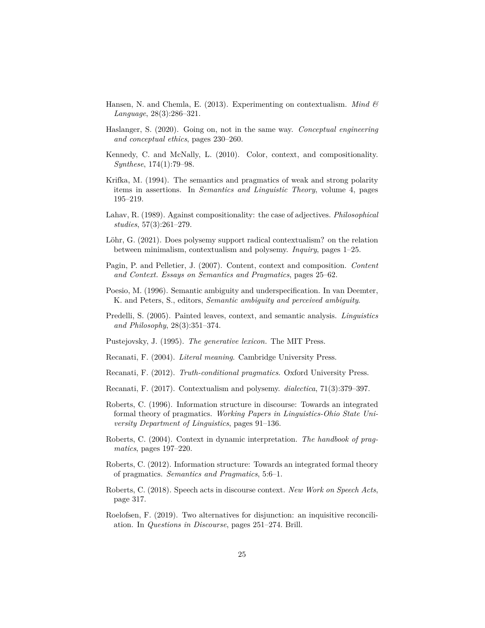- <span id="page-25-7"></span>Hansen, N. and Chemla, E. (2013). Experimenting on contextualism. *Mind & Language*, 28(3):286–321.
- <span id="page-25-8"></span>Haslanger, S. (2020). Going on, not in the same way. *Conceptual engineering and conceptual ethics*, pages 230–260.
- <span id="page-25-6"></span>Kennedy, C. and McNally, L. (2010). Color, context, and compositionality. *Synthese*, 174(1):79–98.
- <span id="page-25-2"></span>Krifka, M. (1994). The semantics and pragmatics of weak and strong polarity items in assertions. In *Semantics and Linguistic Theory*, volume 4, pages 195–219.
- <span id="page-25-13"></span>Lahav, R. (1989). Against compositionality: the case of adjectives. *Philosophical studies*, 57(3):261–279.
- <span id="page-25-10"></span>Löhr, G. (2021). Does polysemy support radical contextualism? on the relation between minimalism, contextualism and polysemy. *Inquiry*, pages 1–25.
- <span id="page-25-1"></span>Pagin, P. and Pelletier, J. (2007). Content, context and composition. *Content and Context. Essays on Semantics and Pragmatics*, pages 25–62.
- <span id="page-25-3"></span>Poesio, M. (1996). Semantic ambiguity and underspecification. In van Deemter, K. and Peters, S., editors, *Semantic ambiguity and perceived ambiguity*.
- <span id="page-25-5"></span>Predelli, S. (2005). Painted leaves, context, and semantic analysis. *Linguistics and Philosophy*, 28(3):351–374.
- <span id="page-25-12"></span>Pustejovsky, J. (1995). *The generative lexicon.* The MIT Press.
- <span id="page-25-0"></span>Recanati, F. (2004). *Literal meaning*. Cambridge University Press.
- <span id="page-25-9"></span>Recanati, F. (2012). *Truth-conditional pragmatics*. Oxford University Press.
- <span id="page-25-11"></span>Recanati, F. (2017). Contextualism and polysemy. *dialectica*, 71(3):379–397.
- <span id="page-25-14"></span>Roberts, C. (1996). Information structure in discourse: Towards an integrated formal theory of pragmatics. *Working Papers in Linguistics-Ohio State University Department of Linguistics*, pages 91–136.
- <span id="page-25-15"></span>Roberts, C. (2004). Context in dynamic interpretation. *The handbook of pragmatics*, pages 197–220.
- <span id="page-25-16"></span>Roberts, C. (2012). Information structure: Towards an integrated formal theory of pragmatics. *Semantics and Pragmatics*, 5:6–1.
- <span id="page-25-17"></span>Roberts, C. (2018). Speech acts in discourse context. *New Work on Speech Acts*, page 317.
- <span id="page-25-4"></span>Roelofsen, F. (2019). Two alternatives for disjunction: an inquisitive reconciliation. In *Questions in Discourse*, pages 251–274. Brill.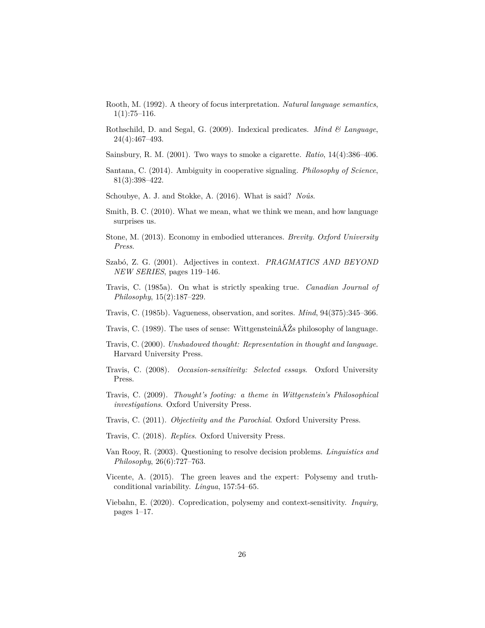- <span id="page-26-2"></span>Rooth, M. (1992). A theory of focus interpretation. *Natural language semantics*,  $1(1):75-116.$
- <span id="page-26-7"></span>Rothschild, D. and Segal, G. (2009). Indexical predicates. *Mind & Language*, 24(4):467–493.
- <span id="page-26-5"></span>Sainsbury, R. M. (2001). Two ways to smoke a cigarette. *Ratio*, 14(4):386–406.
- <span id="page-26-11"></span>Santana, C. (2014). Ambiguity in cooperative signaling. *Philosophy of Science*, 81(3):398–422.
- <span id="page-26-17"></span>Schoubye, A. J. and Stokke, A. (2016). What is said? *Noûs*.
- <span id="page-26-18"></span>Smith, B. C. (2010). What we mean, what we think we mean, and how language surprises us.
- <span id="page-26-16"></span>Stone, M. (2013). Economy in embodied utterances. *Brevity. Oxford University Press*.
- <span id="page-26-6"></span>Szabó, Z. G. (2001). Adjectives in context. *PRAGMATICS AND BEYOND NEW SERIES*, pages 119–146.
- <span id="page-26-1"></span>Travis, C. (1985a). On what is strictly speaking true. *Canadian Journal of Philosophy*, 15(2):187–229.
- <span id="page-26-12"></span>Travis, C. (1985b). Vagueness, observation, and sorites. *Mind*, 94(375):345–366.
- <span id="page-26-0"></span>Travis, C. (1989). The uses of sense: WittgensteinâĂŹs philosophy of language.
- <span id="page-26-10"></span>Travis, C. (2000). *Unshadowed thought: Representation in thought and language*. Harvard University Press.
- <span id="page-26-3"></span>Travis, C. (2008). *Occasion-sensitivity: Selected essays*. Oxford University Press.
- <span id="page-26-13"></span>Travis, C. (2009). *Thought's footing: a theme in Wittgenstein's Philosophical investigations*. Oxford University Press.
- <span id="page-26-4"></span>Travis, C. (2011). *Objectivity and the Parochial*. Oxford University Press.
- <span id="page-26-9"></span>Travis, C. (2018). *Replies*. Oxford University Press.
- <span id="page-26-15"></span>Van Rooy, R. (2003). Questioning to resolve decision problems. *Linguistics and Philosophy*, 26(6):727–763.
- <span id="page-26-8"></span>Vicente, A. (2015). The green leaves and the expert: Polysemy and truthconditional variability. *Lingua*, 157:54–65.
- <span id="page-26-14"></span>Viebahn, E. (2020). Copredication, polysemy and context-sensitivity. *Inquiry*, pages 1–17.